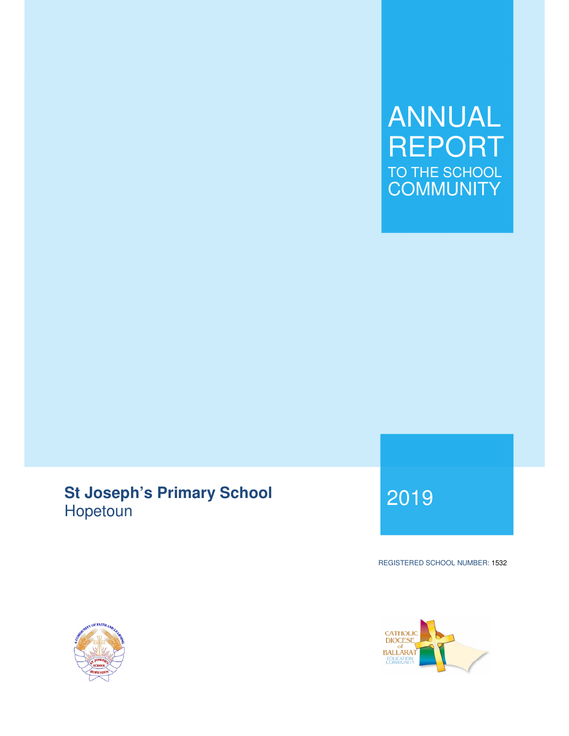## ANNUAL REPORT TO THE SCHOOL **COMMUNITY**

# **St Joseph's Primary School**  Hopetoun <sup>2019</sup>

REGISTERED SCHOOL NUMBER: 1532



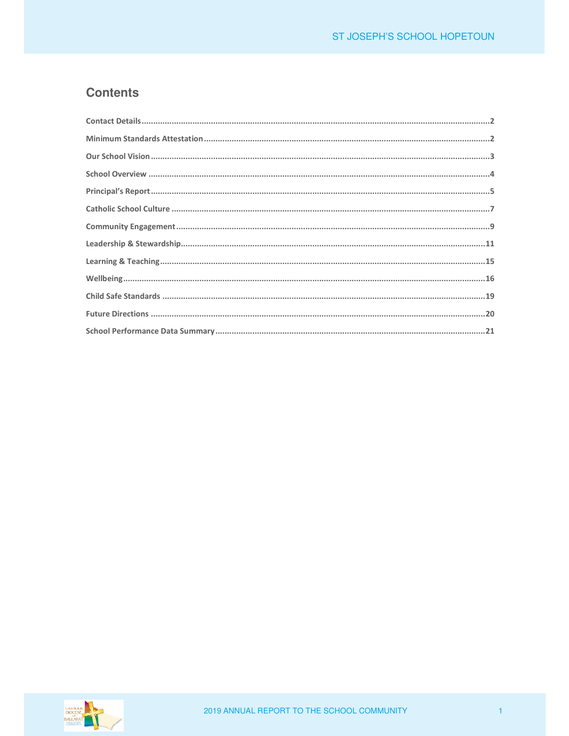## **Contents**

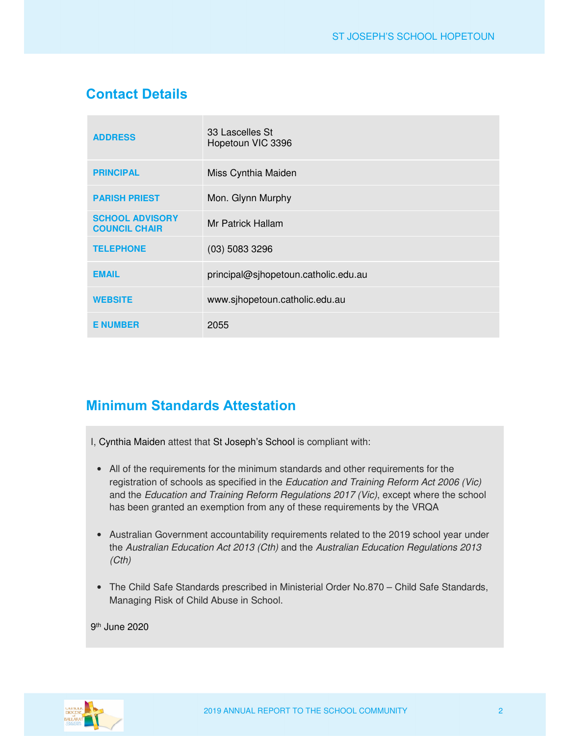## **Contact Details**

| <b>ADDRESS</b>                                 | 33 Lascelles St<br>Hopetoun VIC 3396 |
|------------------------------------------------|--------------------------------------|
| <b>PRINCIPAL</b>                               | Miss Cynthia Maiden                  |
| <b>PARISH PRIEST</b>                           | Mon. Glynn Murphy                    |
| <b>SCHOOL ADVISORY</b><br><b>COUNCIL CHAIR</b> | Mr Patrick Hallam                    |
| <b>TELEPHONE</b>                               | $(03)$ 5083 3296                     |
| <b>EMAIL</b>                                   | principal@sjhopetoun.catholic.edu.au |
| <b>WEBSITE</b>                                 | www.sjhopetoun.catholic.edu.au       |
| <b>E NUMBER</b>                                | 2055                                 |

## **Minimum Standards Attestation**

I, Cynthia Maiden attest that St Joseph's School is compliant with:

- All of the requirements for the minimum standards and other requirements for the registration of schools as specified in the *Education and Training Reform Act 2006 (Vic)* and the *Education and Training Reform Regulations 2017 (Vic)*, except where the school has been granted an exemption from any of these requirements by the VRQA
- Australian Government accountability requirements related to the 2019 school year under the *Australian Education Act 2013 (Cth)* and the *Australian Education Regulations 2013 (Cth)*
- The Child Safe Standards prescribed in Ministerial Order No.870 Child Safe Standards, Managing Risk of Child Abuse in School.

9 th June 2020

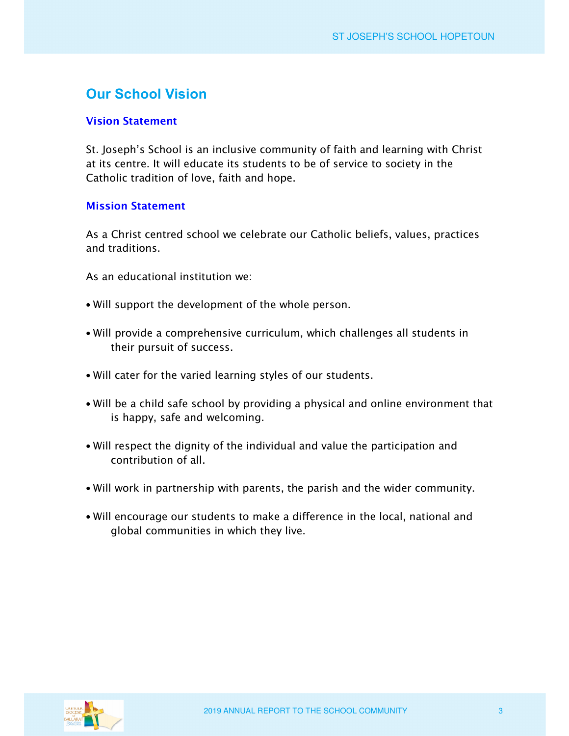## **Our School Vision**

#### **Vision Statement**

*St. Joseph's School is an inclusive community of faith and learning with Christ at its centre. It will educate its students to be of service to society in the Catholic tradition of love, faith and hope.* 

#### **Mission Statement**

*As a Christ centred school we celebrate our Catholic beliefs, values, practices and traditions.* 

*As an educational institution we:* 

- *Will support the development of the whole person.*
- *Will provide a comprehensive curriculum, which challenges all students in their pursuit of success.*
- *Will cater for the varied learning styles of our students.*
- *Will be a child safe school by providing a physical and online environment that is happy, safe and welcoming.*
- *Will respect the dignity of the individual and value the participation and contribution of all.*
- *Will work in partnership with parents, the parish and the wider community.*
- *Will encourage our students to make a difference in the local, national and global communities in which they live.*

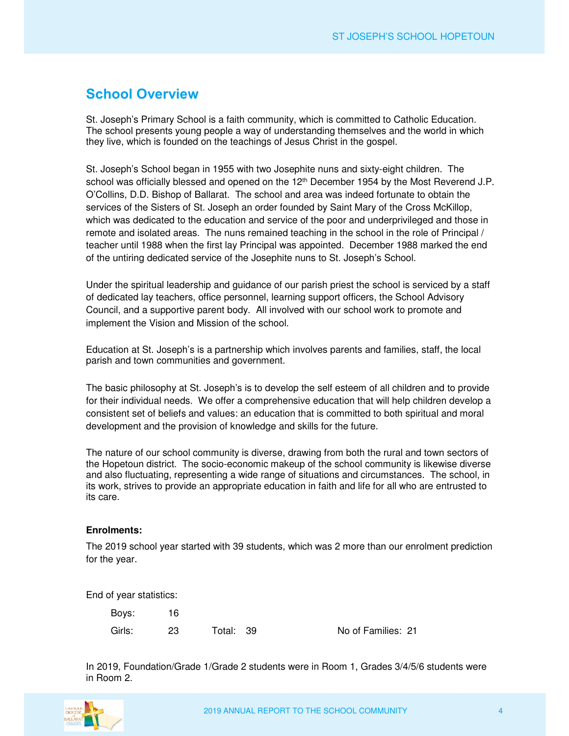### **School Overview**

St. Joseph's Primary School is a faith community, which is committed to Catholic Education. The school presents young people a way of understanding themselves and the world in which they live, which is founded on the teachings of Jesus Christ in the gospel.

St. Joseph's School began in 1955 with two Josephite nuns and sixty-eight children. The school was officially blessed and opened on the 12<sup>th</sup> December 1954 by the Most Reverend J.P. O'Collins, D.D. Bishop of Ballarat. The school and area was indeed fortunate to obtain the services of the Sisters of St. Joseph an order founded by Saint Mary of the Cross McKillop, which was dedicated to the education and service of the poor and underprivileged and those in remote and isolated areas. The nuns remained teaching in the school in the role of Principal / teacher until 1988 when the first lay Principal was appointed. December 1988 marked the end of the untiring dedicated service of the Josephite nuns to St. Joseph's School.

Under the spiritual leadership and guidance of our parish priest the school is serviced by a staff of dedicated lay teachers, office personnel, learning support officers, the School Advisory Council, and a supportive parent body. All involved with our school work to promote and implement the Vision and Mission of the school.

Education at St. Joseph's is a partnership which involves parents and families, staff, the local parish and town communities and government.

The basic philosophy at St. Joseph's is to develop the self esteem of all children and to provide for their individual needs. We offer a comprehensive education that will help children develop a consistent set of beliefs and values: an education that is committed to both spiritual and moral development and the provision of knowledge and skills for the future.

The nature of our school community is diverse, drawing from both the rural and town sectors of the Hopetoun district. The socio-economic makeup of the school community is likewise diverse and also fluctuating, representing a wide range of situations and circumstances. The school, in its work, strives to provide an appropriate education in faith and life for all who are entrusted to its care.

#### **Enrolments:**

The 2019 school year started with 39 students, which was 2 more than our enrolment prediction for the year.

End of year statistics:

 Boys: 16 Girls: 23 Total: 39 No of Families: 21

In 2019, Foundation/Grade 1/Grade 2 students were in Room 1, Grades 3/4/5/6 students were in Room 2.

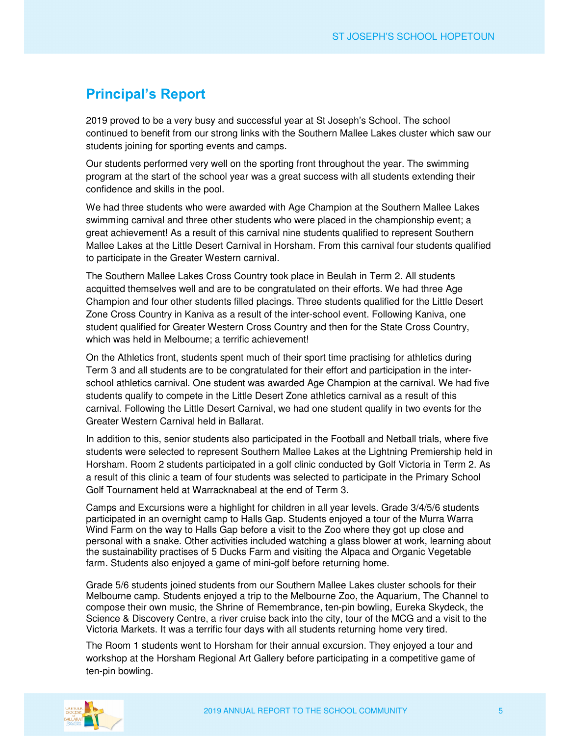## **Principal's Report**

2019 proved to be a very busy and successful year at St Joseph's School. The school continued to benefit from our strong links with the Southern Mallee Lakes cluster which saw our students joining for sporting events and camps.

Our students performed very well on the sporting front throughout the year. The swimming program at the start of the school year was a great success with all students extending their confidence and skills in the pool.

We had three students who were awarded with Age Champion at the Southern Mallee Lakes swimming carnival and three other students who were placed in the championship event; a great achievement! As a result of this carnival nine students qualified to represent Southern Mallee Lakes at the Little Desert Carnival in Horsham. From this carnival four students qualified to participate in the Greater Western carnival.

The Southern Mallee Lakes Cross Country took place in Beulah in Term 2. All students acquitted themselves well and are to be congratulated on their efforts. We had three Age Champion and four other students filled placings. Three students qualified for the Little Desert Zone Cross Country in Kaniva as a result of the inter-school event. Following Kaniva, one student qualified for Greater Western Cross Country and then for the State Cross Country, which was held in Melbourne; a terrific achievement!

On the Athletics front, students spent much of their sport time practising for athletics during Term 3 and all students are to be congratulated for their effort and participation in the interschool athletics carnival. One student was awarded Age Champion at the carnival. We had five students qualify to compete in the Little Desert Zone athletics carnival as a result of this carnival. Following the Little Desert Carnival, we had one student qualify in two events for the Greater Western Carnival held in Ballarat.

In addition to this, senior students also participated in the Football and Netball trials, where five students were selected to represent Southern Mallee Lakes at the Lightning Premiership held in Horsham. Room 2 students participated in a golf clinic conducted by Golf Victoria in Term 2. As a result of this clinic a team of four students was selected to participate in the Primary School Golf Tournament held at Warracknabeal at the end of Term 3.

Camps and Excursions were a highlight for children in all year levels. Grade 3/4/5/6 students participated in an overnight camp to Halls Gap. Students enjoyed a tour of the Murra Warra Wind Farm on the way to Halls Gap before a visit to the Zoo where they got up close and personal with a snake. Other activities included watching a glass blower at work, learning about the sustainability practises of 5 Ducks Farm and visiting the Alpaca and Organic Vegetable farm. Students also enjoyed a game of mini-golf before returning home.

Grade 5/6 students joined students from our Southern Mallee Lakes cluster schools for their Melbourne camp. Students enjoyed a trip to the Melbourne Zoo, the Aquarium, The Channel to compose their own music, the Shrine of Remembrance, ten-pin bowling, Eureka Skydeck, the Science & Discovery Centre, a river cruise back into the city, tour of the MCG and a visit to the Victoria Markets. It was a terrific four days with all students returning home very tired.

The Room 1 students went to Horsham for their annual excursion. They enjoyed a tour and workshop at the Horsham Regional Art Gallery before participating in a competitive game of ten-pin bowling.

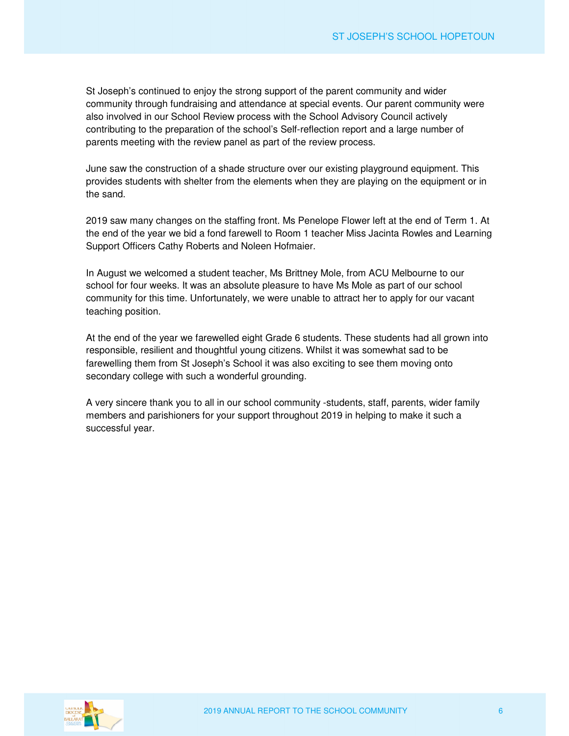St Joseph's continued to enjoy the strong support of the parent community and wider community through fundraising and attendance at special events. Our parent community were also involved in our School Review process with the School Advisory Council actively contributing to the preparation of the school's Self-reflection report and a large number of parents meeting with the review panel as part of the review process.

June saw the construction of a shade structure over our existing playground equipment. This provides students with shelter from the elements when they are playing on the equipment or in the sand.

2019 saw many changes on the staffing front. Ms Penelope Flower left at the end of Term 1. At the end of the year we bid a fond farewell to Room 1 teacher Miss Jacinta Rowles and Learning Support Officers Cathy Roberts and Noleen Hofmaier.

In August we welcomed a student teacher, Ms Brittney Mole, from ACU Melbourne to our school for four weeks. It was an absolute pleasure to have Ms Mole as part of our school community for this time. Unfortunately, we were unable to attract her to apply for our vacant teaching position.

At the end of the year we farewelled eight Grade 6 students. These students had all grown into responsible, resilient and thoughtful young citizens. Whilst it was somewhat sad to be farewelling them from St Joseph's School it was also exciting to see them moving onto secondary college with such a wonderful grounding.

A very sincere thank you to all in our school community -students, staff, parents, wider family members and parishioners for your support throughout 2019 in helping to make it such a successful year.

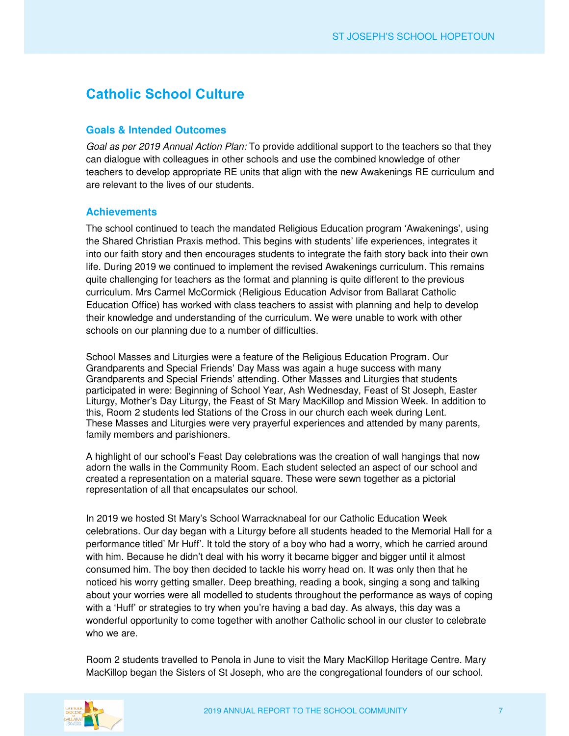## **Catholic School Culture**

#### **Goals & Intended Outcomes**

*Goal as per 2019 Annual Action Plan:* To provide additional support to the teachers so that they can dialogue with colleagues in other schools and use the combined knowledge of other teachers to develop appropriate RE units that align with the new Awakenings RE curriculum and are relevant to the lives of our students.

#### **Achievements**

The school continued to teach the mandated Religious Education program 'Awakenings', using the Shared Christian Praxis method. This begins with students' life experiences, integrates it into our faith story and then encourages students to integrate the faith story back into their own life. During 2019 we continued to implement the revised Awakenings curriculum. This remains quite challenging for teachers as the format and planning is quite different to the previous curriculum. Mrs Carmel McCormick (Religious Education Advisor from Ballarat Catholic Education Office) has worked with class teachers to assist with planning and help to develop their knowledge and understanding of the curriculum. We were unable to work with other schools on our planning due to a number of difficulties.

School Masses and Liturgies were a feature of the Religious Education Program. Our Grandparents and Special Friends' Day Mass was again a huge success with many Grandparents and Special Friends' attending. Other Masses and Liturgies that students participated in were: Beginning of School Year, Ash Wednesday, Feast of St Joseph, Easter Liturgy, Mother's Day Liturgy, the Feast of St Mary MacKillop and Mission Week. In addition to this, Room 2 students led Stations of the Cross in our church each week during Lent. These Masses and Liturgies were very prayerful experiences and attended by many parents, family members and parishioners.

A highlight of our school's Feast Day celebrations was the creation of wall hangings that now adorn the walls in the Community Room. Each student selected an aspect of our school and created a representation on a material square. These were sewn together as a pictorial representation of all that encapsulates our school.

In 2019 we hosted St Mary's School Warracknabeal for our Catholic Education Week celebrations. Our day began with a Liturgy before all students headed to the Memorial Hall for a performance titled' Mr Huff'. It told the story of a boy who had a worry, which he carried around with him. Because he didn't deal with his worry it became bigger and bigger until it almost consumed him. The boy then decided to tackle his worry head on. It was only then that he noticed his worry getting smaller. Deep breathing, reading a book, singing a song and talking about your worries were all modelled to students throughout the performance as ways of coping with a 'Huff' or strategies to try when you're having a bad day. As always, this day was a wonderful opportunity to come together with another Catholic school in our cluster to celebrate who we are.

Room 2 students travelled to Penola in June to visit the Mary MacKillop Heritage Centre. Mary MacKillop began the Sisters of St Joseph, who are the congregational founders of our school.

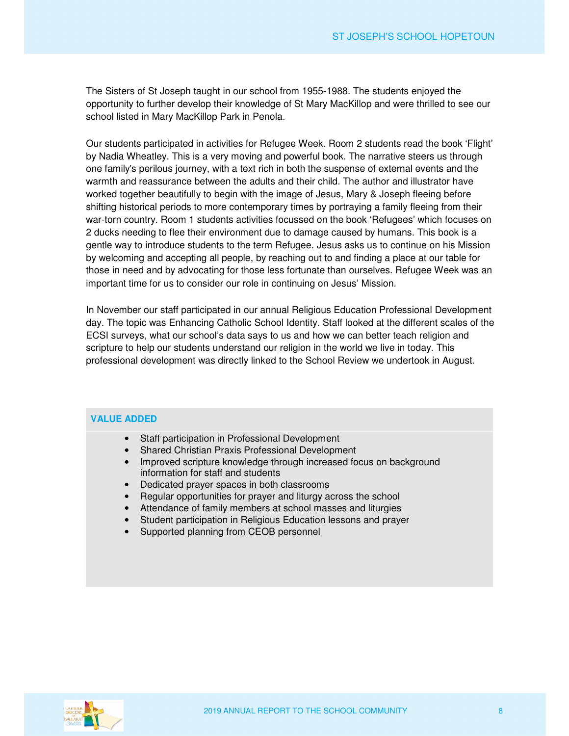The Sisters of St Joseph taught in our school from 1955-1988. The students enjoyed the opportunity to further develop their knowledge of St Mary MacKillop and were thrilled to see our school listed in Mary MacKillop Park in Penola.

Our students participated in activities for Refugee Week. Room 2 students read the book 'Flight' by Nadia Wheatley. This is a very moving and powerful book. The narrative steers us through one family's perilous journey, with a text rich in both the suspense of external events and the warmth and reassurance between the adults and their child. The author and illustrator have worked together beautifully to begin with the image of Jesus, Mary & Joseph fleeing before shifting historical periods to more contemporary times by portraying a family fleeing from their war-torn country. Room 1 students activities focussed on the book 'Refugees' which focuses on 2 ducks needing to flee their environment due to damage caused by humans. This book is a gentle way to introduce students to the term Refugee. Jesus asks us to continue on his Mission by welcoming and accepting all people, by reaching out to and finding a place at our table for those in need and by advocating for those less fortunate than ourselves. Refugee Week was an important time for us to consider our role in continuing on Jesus' Mission.

In November our staff participated in our annual Religious Education Professional Development day. The topic was Enhancing Catholic School Identity. Staff looked at the different scales of the ECSI surveys, what our school's data says to us and how we can better teach religion and scripture to help our students understand our religion in the world we live in today. This professional development was directly linked to the School Review we undertook in August.

#### **VALUE ADDED**

- Staff participation in Professional Development
- Shared Christian Praxis Professional Development
- Improved scripture knowledge through increased focus on background information for staff and students
- Dedicated prayer spaces in both classrooms
- Regular opportunities for prayer and liturgy across the school
- Attendance of family members at school masses and liturgies
- Student participation in Religious Education lessons and prayer
- Supported planning from CEOB personnel

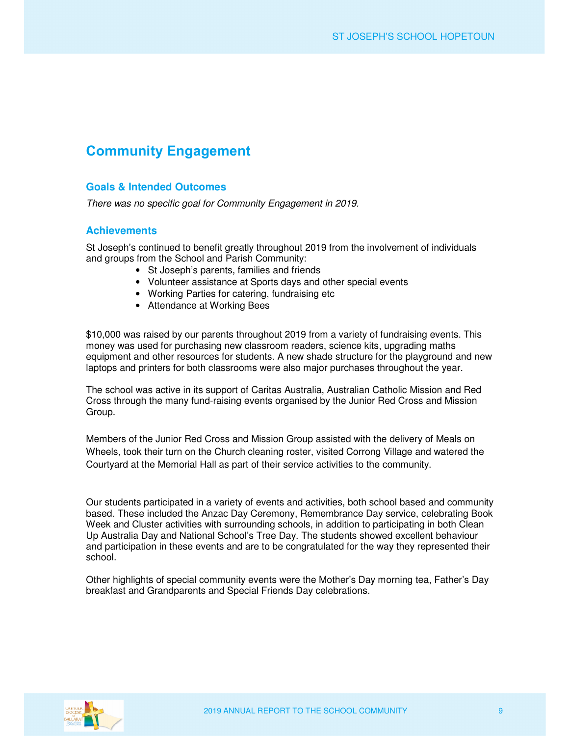## **Community Engagement**

#### **Goals & Intended Outcomes**

*There was no specific goal for Community Engagement in 2019.* 

#### **Achievements**

St Joseph's continued to benefit greatly throughout 2019 from the involvement of individuals and groups from the School and Parish Community:

- St Joseph's parents, families and friends
- Volunteer assistance at Sports days and other special events
- Working Parties for catering, fundraising etc
- Attendance at Working Bees

\$10,000 was raised by our parents throughout 2019 from a variety of fundraising events. This money was used for purchasing new classroom readers, science kits, upgrading maths equipment and other resources for students. A new shade structure for the playground and new laptops and printers for both classrooms were also major purchases throughout the year.

The school was active in its support of Caritas Australia, Australian Catholic Mission and Red Cross through the many fund-raising events organised by the Junior Red Cross and Mission Group.

Members of the Junior Red Cross and Mission Group assisted with the delivery of Meals on Wheels, took their turn on the Church cleaning roster, visited Corrong Village and watered the Courtyard at the Memorial Hall as part of their service activities to the community.

Our students participated in a variety of events and activities, both school based and community based. These included the Anzac Day Ceremony, Remembrance Day service, celebrating Book Week and Cluster activities with surrounding schools, in addition to participating in both Clean Up Australia Day and National School's Tree Day. The students showed excellent behaviour and participation in these events and are to be congratulated for the way they represented their school.

Other highlights of special community events were the Mother's Day morning tea, Father's Day breakfast and Grandparents and Special Friends Day celebrations.

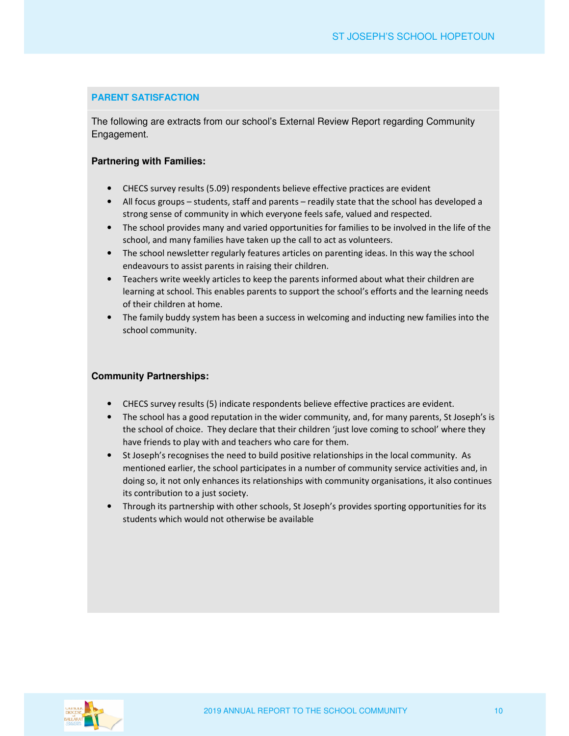#### **PARENT SATISFACTION**

The following are extracts from our school's External Review Report regarding Community Engagement.

#### **Partnering with Families:**

- CHECS survey results (5.09) respondents believe effective practices are evident
- All focus groups students, staff and parents readily state that the school has developed a strong sense of community in which everyone feels safe, valued and respected.
- The school provides many and varied opportunities for families to be involved in the life of the school, and many families have taken up the call to act as volunteers.
- The school newsletter regularly features articles on parenting ideas. In this way the school endeavours to assist parents in raising their children.
- Teachers write weekly articles to keep the parents informed about what their children are learning at school. This enables parents to support the school's efforts and the learning needs of their children at home.
- The family buddy system has been a success in welcoming and inducting new families into the school community.

#### **Community Partnerships:**

- CHECS survey results (5) indicate respondents believe effective practices are evident.
- The school has a good reputation in the wider community, and, for many parents, St Joseph's is the school of choice. They declare that their children 'just love coming to school' where they have friends to play with and teachers who care for them.
- St Joseph's recognises the need to build positive relationships in the local community. As mentioned earlier, the school participates in a number of community service activities and, in doing so, it not only enhances its relationships with community organisations, it also continues its contribution to a just society.
- Through its partnership with other schools, St Joseph's provides sporting opportunities for its students which would not otherwise be available

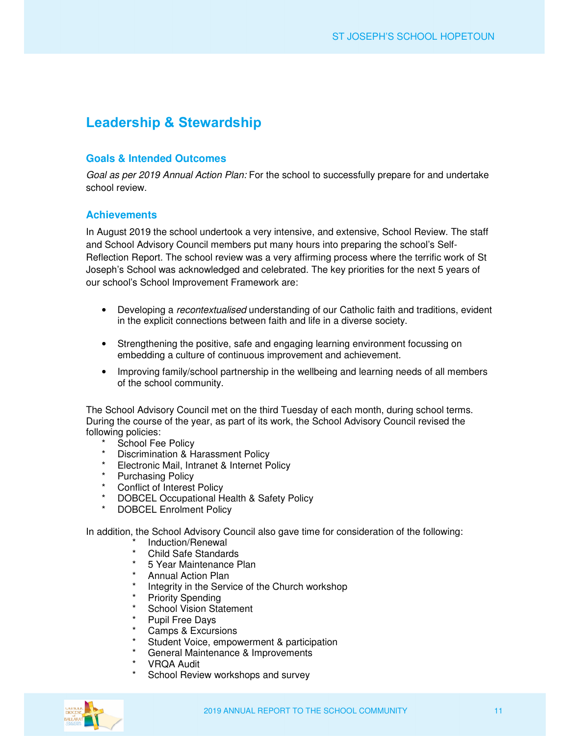## **Leadership & Stewardship**

#### **Goals & Intended Outcomes**

*Goal as per 2019 Annual Action Plan:* For the school to successfully prepare for and undertake school review.

#### **Achievements**

In August 2019 the school undertook a very intensive, and extensive, School Review. The staff and School Advisory Council members put many hours into preparing the school's Self-Reflection Report. The school review was a very affirming process where the terrific work of St Joseph's School was acknowledged and celebrated. The key priorities for the next 5 years of our school's School Improvement Framework are:

- Developing a *recontextualised* understanding of our Catholic faith and traditions, evident in the explicit connections between faith and life in a diverse society.
- Strengthening the positive, safe and engaging learning environment focussing on embedding a culture of continuous improvement and achievement.
- Improving family/school partnership in the wellbeing and learning needs of all members of the school community.

The School Advisory Council met on the third Tuesday of each month, during school terms. During the course of the year, as part of its work, the School Advisory Council revised the following policies:

- \* School Fee Policy
- \* Discrimination & Harassment Policy
- \* Electronic Mail, Intranet & Internet Policy
- \* Purchasing Policy
- \* Conflict of Interest Policy
- DOBCEL Occupational Health & Safety Policy
- DOBCEL Enrolment Policy

In addition, the School Advisory Council also gave time for consideration of the following:

- \* Induction/Renewal<br>\* Child Safe Standar
- Child Safe Standards
- \* 5 Year Maintenance Plan
- \* Annual Action Plan
- Integrity in the Service of the Church workshop
- \* Priority Spending<br>\* Sebeel Vicion Ste
- \* School Vision Statement
- \* Pupil Free Days<br>\* Camps & Excurs
- Camps & Excursions
- Student Voice, empowerment & participation
- General Maintenance & Improvements
- VRQA Audit
- School Review workshops and survey

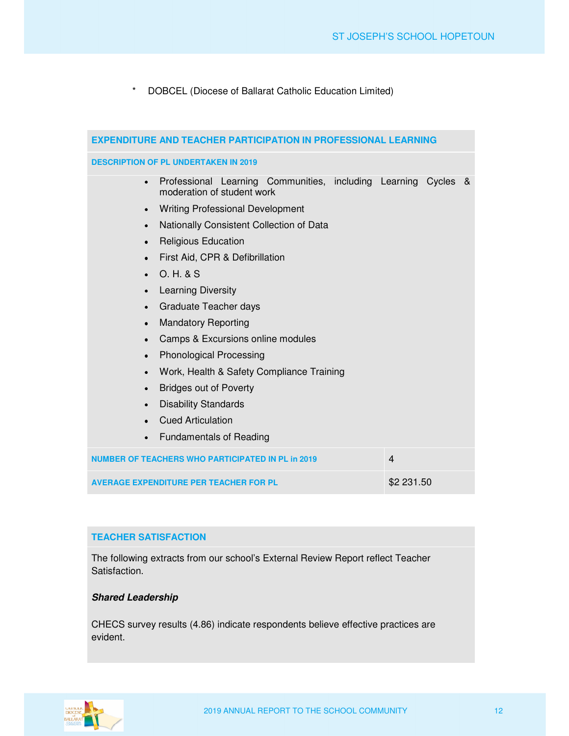\* DOBCEL (Diocese of Ballarat Catholic Education Limited)

| <b>EXPENDITURE AND TEACHER PARTICIPATION IN PROFESSIONAL LEARNING</b>                                     |                |  |  |  |  |
|-----------------------------------------------------------------------------------------------------------|----------------|--|--|--|--|
| <b>DESCRIPTION OF PL UNDERTAKEN IN 2019</b>                                                               |                |  |  |  |  |
| Professional Learning Communities, including Learning Cycles &<br>$\bullet$<br>moderation of student work |                |  |  |  |  |
| <b>Writing Professional Development</b><br>$\bullet$                                                      |                |  |  |  |  |
| Nationally Consistent Collection of Data<br>$\bullet$                                                     |                |  |  |  |  |
| <b>Religious Education</b><br>$\bullet$                                                                   |                |  |  |  |  |
| First Aid, CPR & Defibrillation<br>$\bullet$                                                              |                |  |  |  |  |
| O. H. & S.<br>$\bullet$                                                                                   |                |  |  |  |  |
| <b>Learning Diversity</b><br>$\bullet$                                                                    |                |  |  |  |  |
| Graduate Teacher days<br>$\bullet$                                                                        |                |  |  |  |  |
| <b>Mandatory Reporting</b><br>$\bullet$                                                                   |                |  |  |  |  |
| Camps & Excursions online modules<br>$\bullet$                                                            |                |  |  |  |  |
| <b>Phonological Processing</b><br>$\bullet$                                                               |                |  |  |  |  |
| Work, Health & Safety Compliance Training<br>$\bullet$                                                    |                |  |  |  |  |
| <b>Bridges out of Poverty</b><br>$\bullet$                                                                |                |  |  |  |  |
| <b>Disability Standards</b><br>$\bullet$                                                                  |                |  |  |  |  |
| <b>Cued Articulation</b>                                                                                  |                |  |  |  |  |
| <b>Fundamentals of Reading</b><br>$\bullet$                                                               |                |  |  |  |  |
| <b>NUMBER OF TEACHERS WHO PARTICIPATED IN PL in 2019</b>                                                  | $\overline{4}$ |  |  |  |  |
| <b>AVERAGE EXPENDITURE PER TEACHER FOR PL</b>                                                             | \$2 231.50     |  |  |  |  |

#### **TEACHER SATISFACTION**

The following extracts from our school's External Review Report reflect Teacher Satisfaction.

#### **Shared Leadership**

CHECS survey results (4.86) indicate respondents believe effective practices are evident.

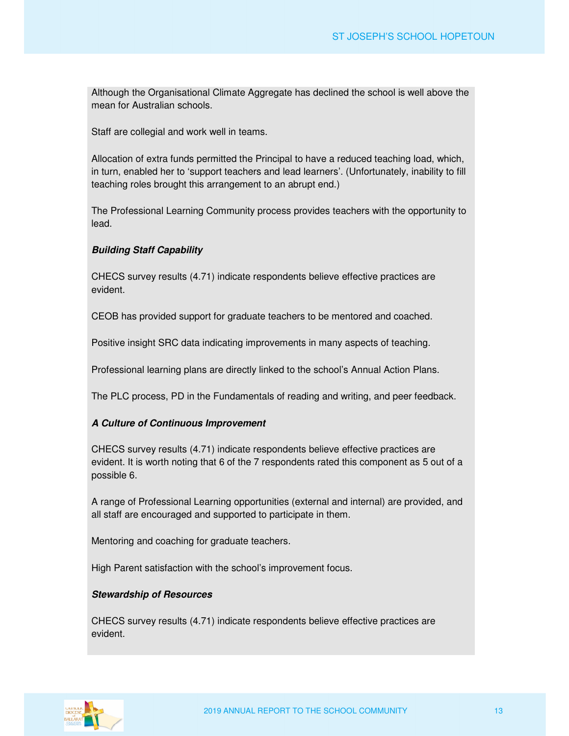Although the Organisational Climate Aggregate has declined the school is well above the mean for Australian schools.

Staff are collegial and work well in teams.

Allocation of extra funds permitted the Principal to have a reduced teaching load, which, in turn, enabled her to 'support teachers and lead learners'. (Unfortunately, inability to fill teaching roles brought this arrangement to an abrupt end.)

The Professional Learning Community process provides teachers with the opportunity to lead.

#### **Building Staff Capability**

CHECS survey results (4.71) indicate respondents believe effective practices are evident.

CEOB has provided support for graduate teachers to be mentored and coached.

Positive insight SRC data indicating improvements in many aspects of teaching.

Professional learning plans are directly linked to the school's Annual Action Plans.

The PLC process, PD in the Fundamentals of reading and writing, and peer feedback.

#### **A Culture of Continuous Improvement**

CHECS survey results (4.71) indicate respondents believe effective practices are evident. It is worth noting that 6 of the 7 respondents rated this component as 5 out of a possible 6.

A range of Professional Learning opportunities (external and internal) are provided, and all staff are encouraged and supported to participate in them.

Mentoring and coaching for graduate teachers.

High Parent satisfaction with the school's improvement focus.

#### **Stewardship of Resources**

CHECS survey results (4.71) indicate respondents believe effective practices are evident.

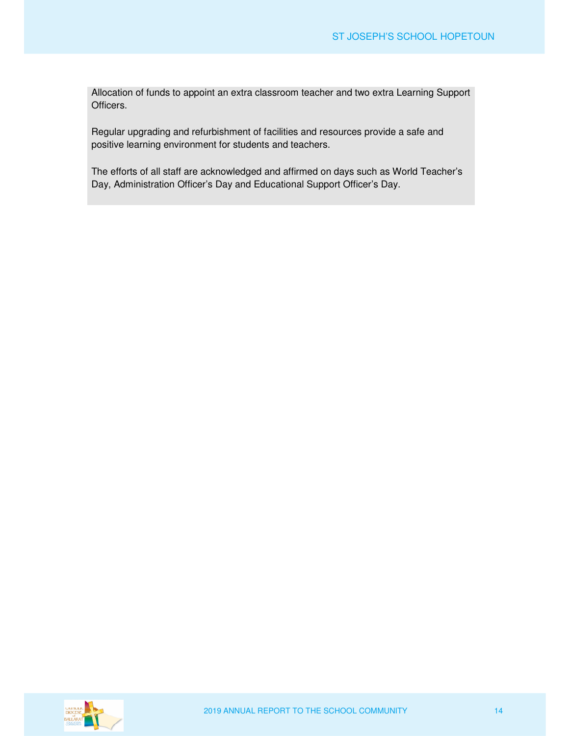Allocation of funds to appoint an extra classroom teacher and two extra Learning Support Officers.

Regular upgrading and refurbishment of facilities and resources provide a safe and positive learning environment for students and teachers.

The efforts of all staff are acknowledged and affirmed on days such as World Teacher's Day, Administration Officer's Day and Educational Support Officer's Day.

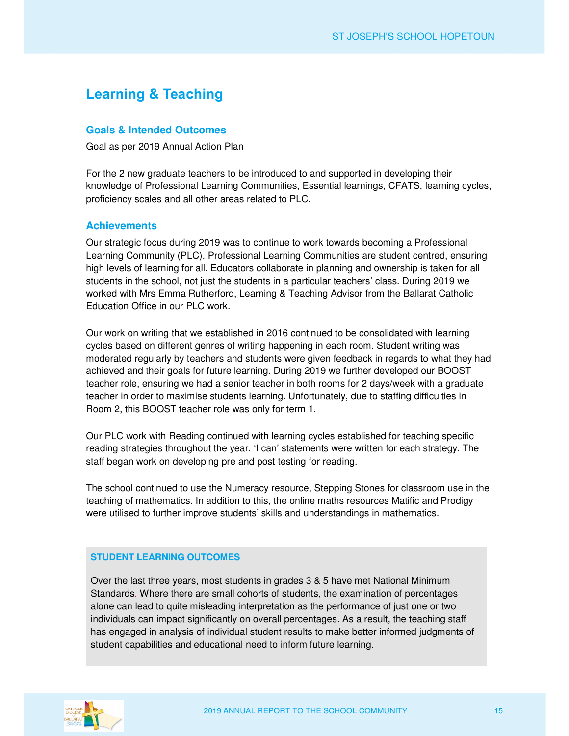## **Learning & Teaching**

#### **Goals & Intended Outcomes**

Goal as per 2019 Annual Action Plan

For the 2 new graduate teachers to be introduced to and supported in developing their knowledge of Professional Learning Communities, Essential learnings, CFATS, learning cycles, proficiency scales and all other areas related to PLC.

#### **Achievements**

Our strategic focus during 2019 was to continue to work towards becoming a Professional Learning Community (PLC). Professional Learning Communities are student centred, ensuring high levels of learning for all. Educators collaborate in planning and ownership is taken for all students in the school, not just the students in a particular teachers' class. During 2019 we worked with Mrs Emma Rutherford, Learning & Teaching Advisor from the Ballarat Catholic Education Office in our PLC work.

Our work on writing that we established in 2016 continued to be consolidated with learning cycles based on different genres of writing happening in each room. Student writing was moderated regularly by teachers and students were given feedback in regards to what they had achieved and their goals for future learning. During 2019 we further developed our BOOST teacher role, ensuring we had a senior teacher in both rooms for 2 days/week with a graduate teacher in order to maximise students learning. Unfortunately, due to staffing difficulties in Room 2, this BOOST teacher role was only for term 1.

Our PLC work with Reading continued with learning cycles established for teaching specific reading strategies throughout the year. 'I can' statements were written for each strategy. The staff began work on developing pre and post testing for reading.

The school continued to use the Numeracy resource, Stepping Stones for classroom use in the teaching of mathematics. In addition to this, the online maths resources Matific and Prodigy were utilised to further improve students' skills and understandings in mathematics.

#### **STUDENT LEARNING OUTCOMES**

Over the last three years, most students in grades 3 & 5 have met National Minimum Standards. Where there are small cohorts of students, the examination of percentages alone can lead to quite misleading interpretation as the performance of just one or two individuals can impact significantly on overall percentages. As a result, the teaching staff has engaged in analysis of individual student results to make better informed judgments of student capabilities and educational need to inform future learning.

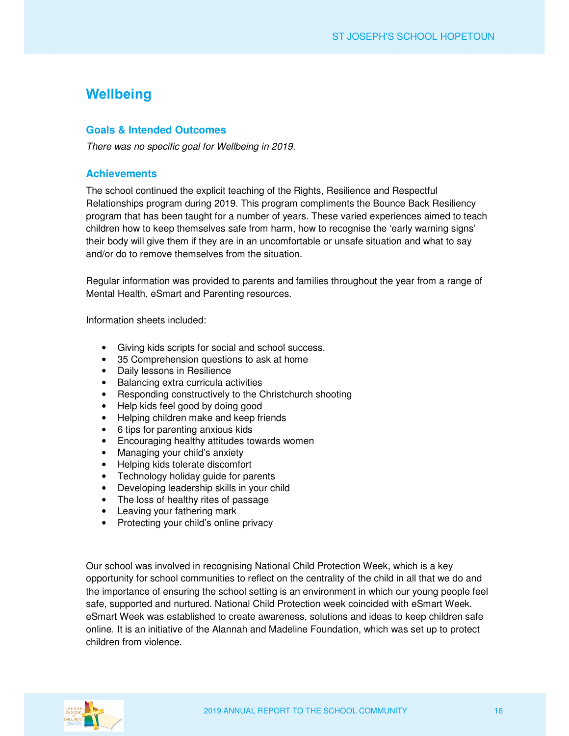## **Wellbeing**

#### **Goals & Intended Outcomes**

*There was no specific goal for Wellbeing in 2019.* 

#### **Achievements**

The school continued the explicit teaching of the Rights, Resilience and Respectful Relationships program during 2019. This program compliments the Bounce Back Resiliency program that has been taught for a number of years. These varied experiences aimed to teach children how to keep themselves safe from harm, how to recognise the 'early warning signs' their body will give them if they are in an uncomfortable or unsafe situation and what to say and/or do to remove themselves from the situation.

Regular information was provided to parents and families throughout the year from a range of Mental Health, eSmart and Parenting resources.

Information sheets included:

- Giving kids scripts for social and school success.
- 35 Comprehension questions to ask at home
- Daily lessons in Resilience
- Balancing extra curricula activities
- Responding constructively to the Christchurch shooting
- Help kids feel good by doing good
- Helping children make and keep friends
- 6 tips for parenting anxious kids
- Encouraging healthy attitudes towards women
- Managing your child's anxiety
- Helping kids tolerate discomfort
- Technology holiday guide for parents
- Developing leadership skills in your child
- The loss of healthy rites of passage
- Leaving your fathering mark
- Protecting your child's online privacy

Our school was involved in recognising National Child Protection Week, which is a key opportunity for school communities to reflect on the centrality of the child in all that we do and the importance of ensuring the school setting is an environment in which our young people feel safe, supported and nurtured. National Child Protection week coincided with eSmart Week. eSmart Week was established to create awareness, solutions and ideas to keep children safe online. It is an initiative of the Alannah and Madeline Foundation, which was set up to protect children from violence.

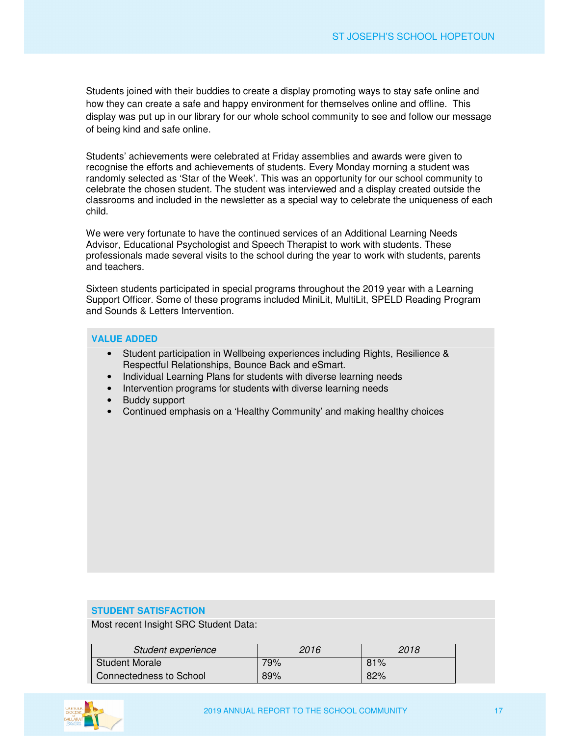Students joined with their buddies to create a display promoting ways to stay safe online and how they can create a safe and happy environment for themselves online and offline. This display was put up in our library for our whole school community to see and follow our message of being kind and safe online.

Students' achievements were celebrated at Friday assemblies and awards were given to recognise the efforts and achievements of students. Every Monday morning a student was randomly selected as 'Star of the Week'. This was an opportunity for our school community to celebrate the chosen student. The student was interviewed and a display created outside the classrooms and included in the newsletter as a special way to celebrate the uniqueness of each child.

We were very fortunate to have the continued services of an Additional Learning Needs Advisor, Educational Psychologist and Speech Therapist to work with students. These professionals made several visits to the school during the year to work with students, parents and teachers.

Sixteen students participated in special programs throughout the 2019 year with a Learning Support Officer. Some of these programs included MiniLit, MultiLit, SPELD Reading Program and Sounds & Letters Intervention.

#### **VALUE ADDED**

- Student participation in Wellbeing experiences including Rights, Resilience & Respectful Relationships, Bounce Back and eSmart.
- Individual Learning Plans for students with diverse learning needs
- Intervention programs for students with diverse learning needs
- Buddy support
- Continued emphasis on a 'Healthy Community' and making healthy choices

#### **STUDENT SATISFACTION**

Most recent Insight SRC Student Data:

| Student experience      | 2016 | 2018 |
|-------------------------|------|------|
| <b>Student Morale</b>   | 79%  | 81%  |
| Connectedness to School | 89%  | 82%  |

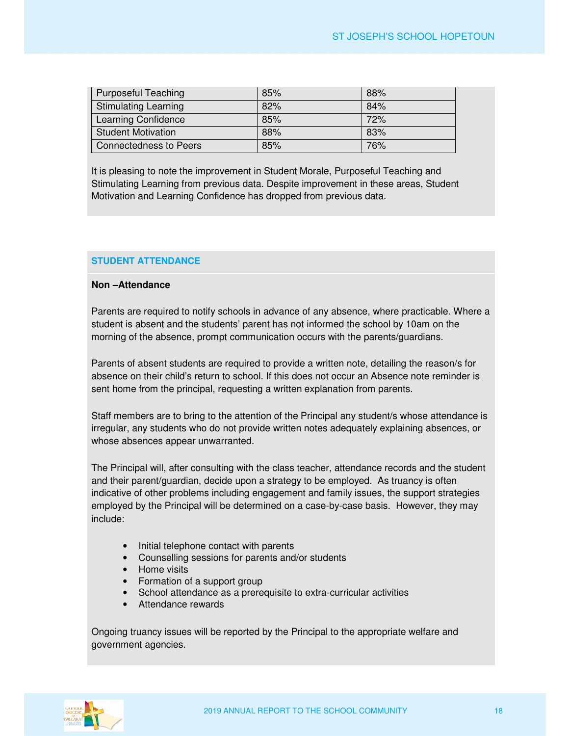| Purposeful Teaching         | 85% | 88% |
|-----------------------------|-----|-----|
| <b>Stimulating Learning</b> | 82% | 84% |
| Learning Confidence         | 85% | 72% |
| <b>Student Motivation</b>   | 88% | 83% |
| Connectedness to Peers      | 85% | 76% |

It is pleasing to note the improvement in Student Morale, Purposeful Teaching and Stimulating Learning from previous data. Despite improvement in these areas, Student Motivation and Learning Confidence has dropped from previous data.

#### **STUDENT ATTENDANCE**

#### **Non –Attendance**

Parents are required to notify schools in advance of any absence, where practicable. Where a student is absent and the students' parent has not informed the school by 10am on the morning of the absence, prompt communication occurs with the parents/guardians.

Parents of absent students are required to provide a written note, detailing the reason/s for absence on their child's return to school. If this does not occur an Absence note reminder is sent home from the principal, requesting a written explanation from parents.

Staff members are to bring to the attention of the Principal any student/s whose attendance is irregular, any students who do not provide written notes adequately explaining absences, or whose absences appear unwarranted.

The Principal will, after consulting with the class teacher, attendance records and the student and their parent/guardian, decide upon a strategy to be employed. As truancy is often indicative of other problems including engagement and family issues, the support strategies employed by the Principal will be determined on a case-by-case basis. However, they may include:

- Initial telephone contact with parents
- Counselling sessions for parents and/or students
- Home visits
- Formation of a support group
- School attendance as a prerequisite to extra-curricular activities
- Attendance rewards

Ongoing truancy issues will be reported by the Principal to the appropriate welfare and government agencies.

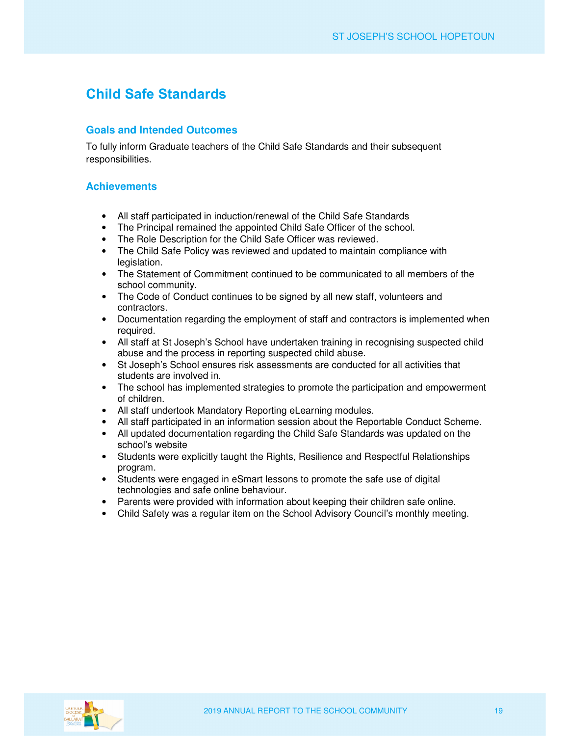## **Child Safe Standards**

#### **Goals and Intended Outcomes**

To fully inform Graduate teachers of the Child Safe Standards and their subsequent responsibilities.

#### **Achievements**

- All staff participated in induction/renewal of the Child Safe Standards
- The Principal remained the appointed Child Safe Officer of the school.
- The Role Description for the Child Safe Officer was reviewed.
- The Child Safe Policy was reviewed and updated to maintain compliance with legislation.
- The Statement of Commitment continued to be communicated to all members of the school community.
- The Code of Conduct continues to be signed by all new staff, volunteers and contractors.
- Documentation regarding the employment of staff and contractors is implemented when required.
- All staff at St Joseph's School have undertaken training in recognising suspected child abuse and the process in reporting suspected child abuse.
- St Joseph's School ensures risk assessments are conducted for all activities that students are involved in.
- The school has implemented strategies to promote the participation and empowerment of children.
- All staff undertook Mandatory Reporting eLearning modules.
- All staff participated in an information session about the Reportable Conduct Scheme.
- All updated documentation regarding the Child Safe Standards was updated on the school's website
- Students were explicitly taught the Rights, Resilience and Respectful Relationships program.
- Students were engaged in eSmart lessons to promote the safe use of digital technologies and safe online behaviour.
- Parents were provided with information about keeping their children safe online.
- Child Safety was a regular item on the School Advisory Council's monthly meeting.

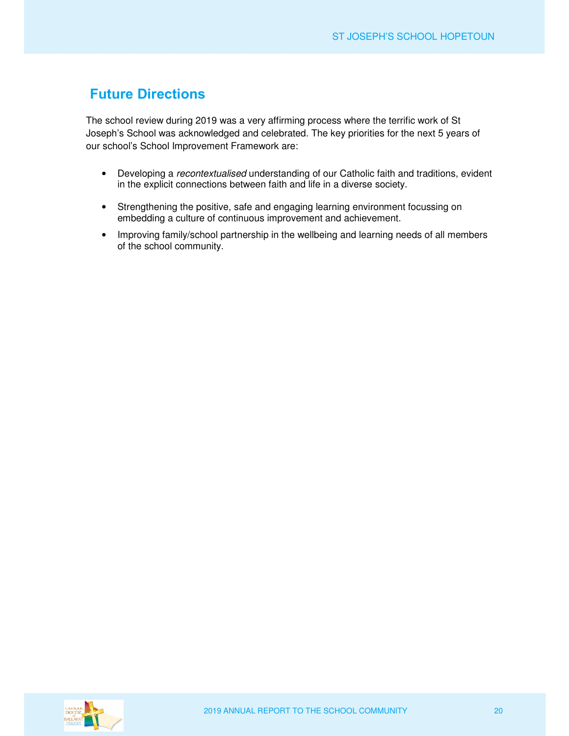## **Future Directions**

The school review during 2019 was a very affirming process where the terrific work of St Joseph's School was acknowledged and celebrated. The key priorities for the next 5 years of our school's School Improvement Framework are:

- Developing a *recontextualised* understanding of our Catholic faith and traditions, evident in the explicit connections between faith and life in a diverse society.
- Strengthening the positive, safe and engaging learning environment focussing on embedding a culture of continuous improvement and achievement.
- Improving family/school partnership in the wellbeing and learning needs of all members of the school community.

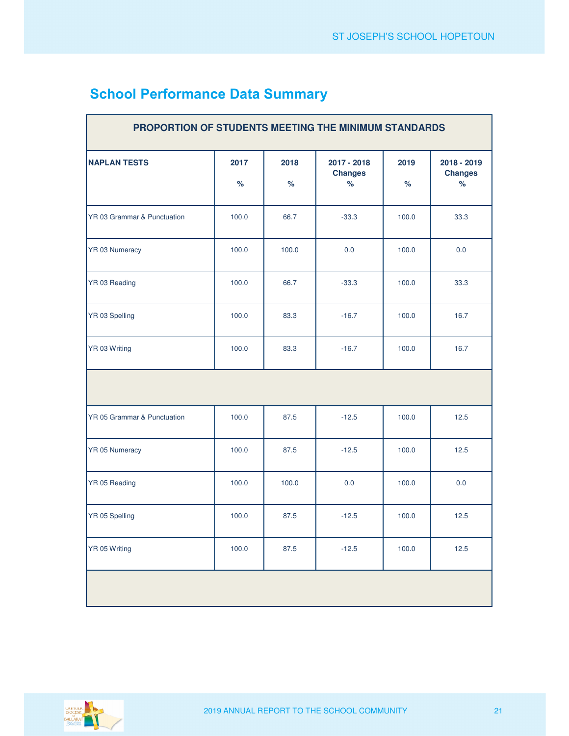| PROPORTION OF STUDENTS MEETING THE MINIMUM STANDARDS |              |              |                                       |              |                                       |
|------------------------------------------------------|--------------|--------------|---------------------------------------|--------------|---------------------------------------|
| <b>NAPLAN TESTS</b>                                  | 2017<br>$\%$ | 2018<br>$\%$ | 2017 - 2018<br><b>Changes</b><br>$\%$ | 2019<br>$\%$ | 2018 - 2019<br><b>Changes</b><br>$\%$ |
| YR 03 Grammar & Punctuation                          | 100.0        | 66.7         | $-33.3$                               | 100.0        | 33.3                                  |
| YR 03 Numeracy                                       | 100.0        | 100.0        | 0.0                                   | 100.0        | 0.0                                   |
| YR 03 Reading                                        | 100.0        | 66.7         | $-33.3$                               | 100.0        | 33.3                                  |
| YR 03 Spelling                                       | 100.0        | 83.3         | $-16.7$                               | 100.0        | 16.7                                  |
| YR 03 Writing                                        | 100.0        | 83.3         | $-16.7$                               | 100.0        | 16.7                                  |
|                                                      |              |              |                                       |              |                                       |
| YR 05 Grammar & Punctuation                          | 100.0        | 87.5         | $-12.5$                               | 100.0        | 12.5                                  |
| YR 05 Numeracy                                       | 100.0        | 87.5         | $-12.5$                               | 100.0        | 12.5                                  |
| YR 05 Reading                                        | 100.0        | 100.0        | 0.0                                   | 100.0        | 0.0                                   |
| YR 05 Spelling                                       | 100.0        | 87.5         | $-12.5$                               | 100.0        | 12.5                                  |
| YR 05 Writing                                        | 100.0        | 87.5         | $-12.5$                               | 100.0        | 12.5                                  |
|                                                      |              |              |                                       |              |                                       |

## **School Performance Data Summary**

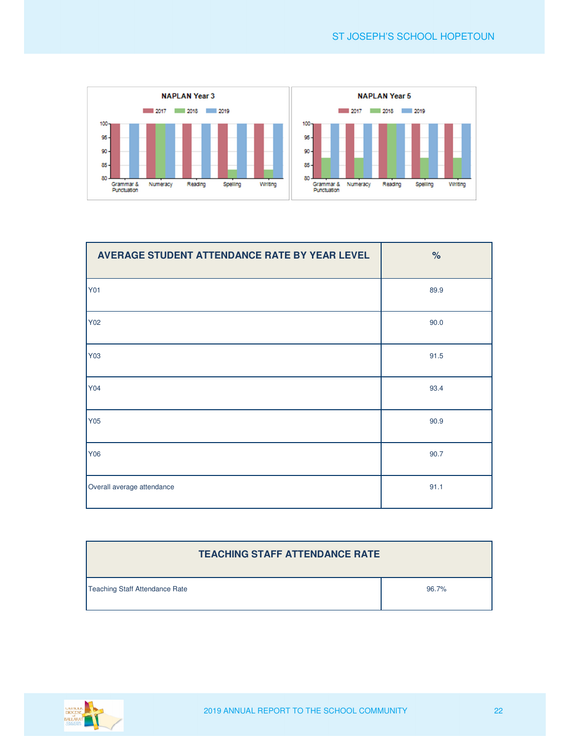

| AVERAGE STUDENT ATTENDANCE RATE BY YEAR LEVEL | $\%$ |
|-----------------------------------------------|------|
| <b>Y01</b>                                    | 89.9 |
| Y02                                           | 90.0 |
| Y03                                           | 91.5 |
| Y04                                           | 93.4 |
| Y05                                           | 90.9 |
| Y06                                           | 90.7 |
| Overall average attendance                    | 91.1 |

| <b>TEACHING STAFF ATTENDANCE RATE</b> |       |
|---------------------------------------|-------|
| Teaching Staff Attendance Rate        | 96.7% |